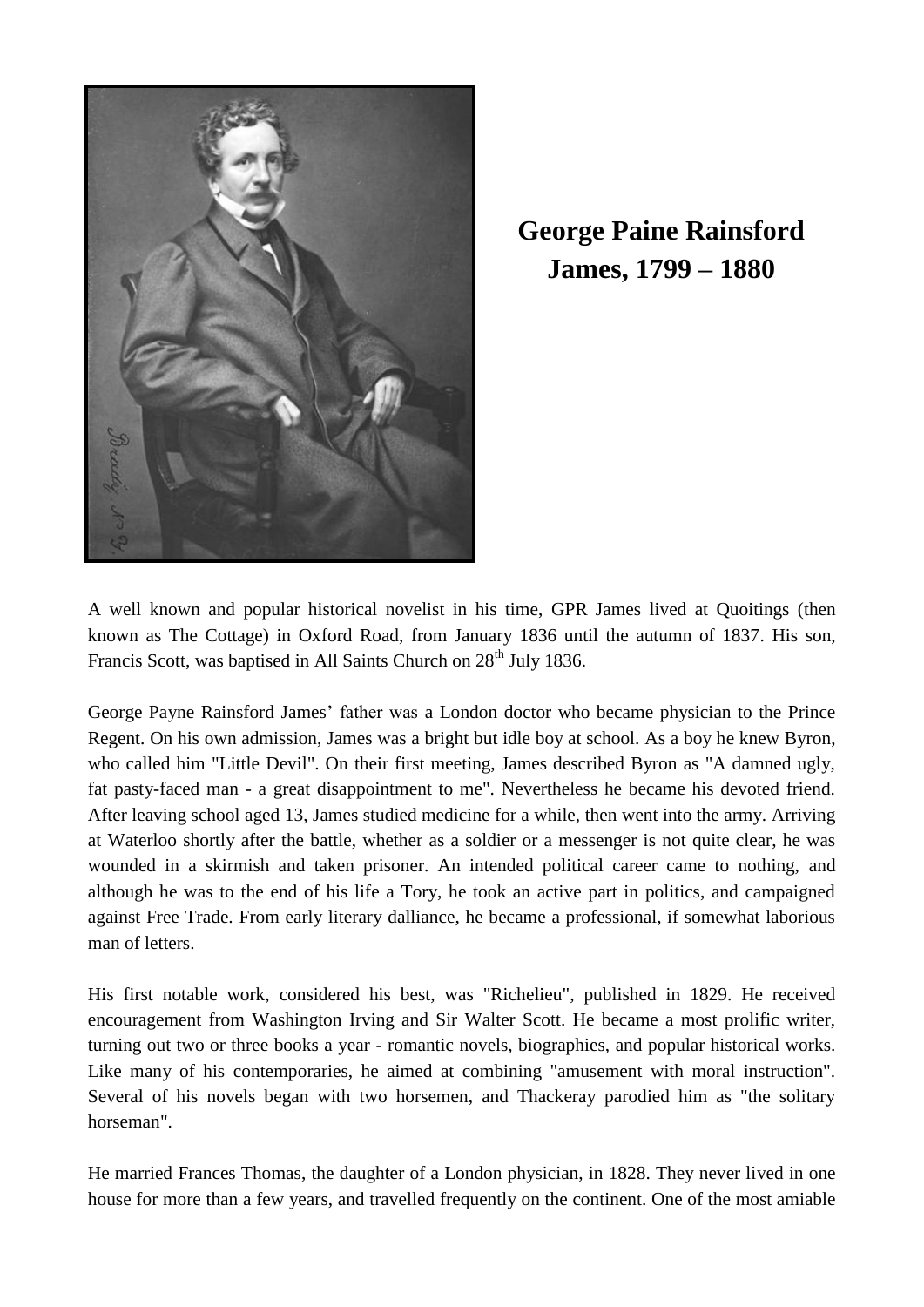

**George Paine Rainsford James, 1799 – 1880**

A well known and popular historical novelist in his time, GPR James lived at Quoitings (then known as The Cottage) in Oxford Road, from January 1836 until the autumn of 1837. His son, Francis Scott, was baptised in All Saints Church on 28<sup>th</sup> July 1836.

George Payne Rainsford James' father was a London doctor who became physician to the Prince Regent. On his own admission, James was a bright but idle boy at school. As a boy he knew Byron, who called him "Little Devil". On their first meeting, James described Byron as "A damned ugly, fat pasty-faced man - a great disappointment to me". Nevertheless he became his devoted friend. After leaving school aged 13, James studied medicine for a while, then went into the army. Arriving at Waterloo shortly after the battle, whether as a soldier or a messenger is not quite clear, he was wounded in a skirmish and taken prisoner. An intended political career came to nothing, and although he was to the end of his life a Tory, he took an active part in politics, and campaigned against Free Trade. From early literary dalliance, he became a professional, if somewhat laborious man of letters.

His first notable work, considered his best, was "Richelieu", published in 1829. He received encouragement from Washington Irving and Sir Walter Scott. He became a most prolific writer, turning out two or three books a year - romantic novels, biographies, and popular historical works. Like many of his contemporaries, he aimed at combining "amusement with moral instruction". Several of his novels began with two horsemen, and Thackeray parodied him as "the solitary horseman".

He married Frances Thomas, the daughter of a London physician, in 1828. They never lived in one house for more than a few years, and travelled frequently on the continent. One of the most amiable